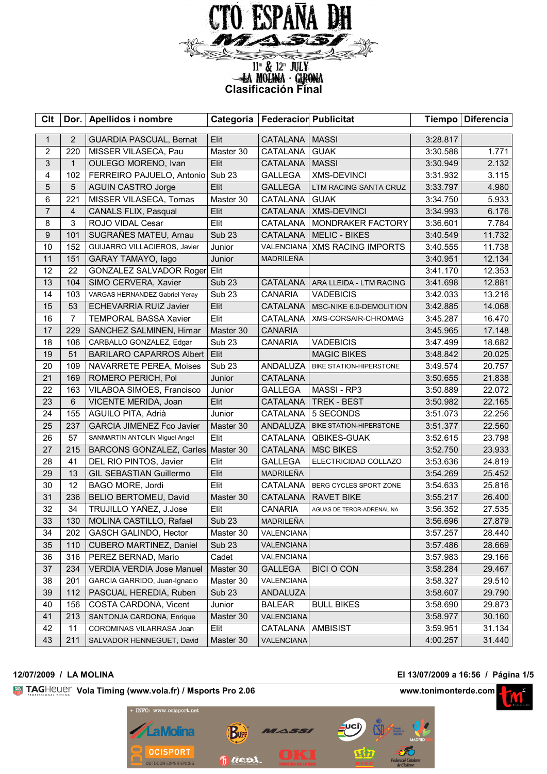

# **Clasificación Final**<br> **Clasificación Final**

| <b>Clt</b>     | Dor.            | Apellidos i nombre                 | Categoria         | <b>Federacior Publicitat</b> |                               |          | Tiempo   Diferencia |
|----------------|-----------------|------------------------------------|-------------------|------------------------------|-------------------------------|----------|---------------------|
| $\mathbf{1}$   | $\overline{2}$  | <b>GUARDIA PASCUAL, Bernat</b>     | Elit              | CATALANA   MASSI             |                               | 3:28.817 |                     |
| $\overline{c}$ | 220             | MISSER VILASECA, Pau               | Master 30         | <b>CATALANA</b>              | <b>GUAK</b>                   | 3:30.588 | 1.771               |
| 3              | $\mathbf{1}$    | OULEGO MORENO, Ivan                | Elit              | <b>CATALANA</b>              | <b>MASSI</b>                  | 3:30.949 | 2.132               |
| 4              | 102             | FERREIRO PAJUELO, Antonio          | Sub <sub>23</sub> | <b>GALLEGA</b>               | <b>XMS-DEVINCI</b>            | 3:31.932 | 3.115               |
| 5              | $5\phantom{.0}$ | <b>AGUIN CASTRO Jorge</b>          | Elit              | <b>GALLEGA</b>               | LTM RACING SANTA CRUZ         | 3:33.797 | 4.980               |
| 6              | 221             | MISSER VILASECA, Tomas             | Master 30         | CATALANA                     | <b>GUAK</b>                   | 3:34.750 | 5.933               |
| $\overline{7}$ | $\overline{4}$  | <b>CANALS FLIX, Pasqual</b>        | Elit              | CATALANA                     | <b>XMS-DEVINCI</b>            | 3:34.993 | 6.176               |
| 8              | $\mathsf 3$     | ROJO VIDAL Cesar                   | Elit              | CATALANA                     | MONDRAKER FACTORY             | 3:36.601 | 7.784               |
| 9              | 101             | SUGRAÑES MATEU, Arnau              | <b>Sub 23</b>     | <b>CATALANA</b>              | <b>MELIC - BIKES</b>          | 3:40.549 | 11.732              |
| 10             | 152             | GUIJARRO VILLACIEROS, Javier       | Junior            |                              | VALENCIANA XMS RACING IMPORTS | 3:40.555 | 11.738              |
| 11             | 151             | GARAY TAMAYO, lago                 | Junior            | MADRILEÑA                    |                               | 3:40.951 | 12.134              |
| 12             | 22              | GONZALEZ SALVADOR Roger Elit       |                   |                              |                               | 3:41.170 | 12.353              |
| 13             | 104             | SIMO CERVERA, Xavier               | <b>Sub 23</b>     | <b>CATALANA</b>              | ARA LLEIDA - LTM RACING       | 3:41.698 | 12.881              |
| 14             | 103             | VARGAS HERNANDEZ Gabriel Yeray     | Sub <sub>23</sub> | <b>CANARIA</b>               | <b>VADEBICIS</b>              | 3:42.033 | 13.216              |
| 15             | 53              | <b>ECHEVARRIA RUIZ Javier</b>      | Elit              | CATALANA                     | MSC-NIKE 6.0-DEMOLITION       | 3:42.885 | 14.068              |
| 16             | $\overline{7}$  | <b>TEMPORAL BASSA Xavier</b>       | Elit              | CATALANA                     | XMS-CORSAIR-CHROMAG           | 3:45.287 | 16.470              |
| 17             | 229             | SANCHEZ SALMINEN, Himar            | Master 30         | <b>CANARIA</b>               |                               | 3:45.965 | 17.148              |
| 18             | 106             | CARBALLO GONZALEZ, Edgar           | Sub <sub>23</sub> | <b>CANARIA</b>               | <b>VADEBICIS</b>              | 3:47.499 | 18.682              |
| 19             | 51              | <b>BARILARO CAPARROS Albert</b>    | Elit              |                              | <b>MAGIC BIKES</b>            | 3:48.842 | 20.025              |
| 20             | 109             | NAVARRETE PEREA, Moises            | <b>Sub 23</b>     | ANDALUZA                     | BIKE STATION-HIPERSTONE       | 3:49.574 | 20.757              |
| 21             | 169             | ROMERO PERICH, Pol                 | Junior            | CATALANA                     |                               | 3:50.655 | 21.838              |
| 22             | 163             | VILABOA SIMOES, Francisco          | Junior            | <b>GALLEGA</b>               | MASSI-RP3                     | 3:50.889 | 22.072              |
| 23             | $6\phantom{1}$  | VICENTE MERIDA, Joan               | Elit              | <b>CATALANA</b>              | TREK - BEST                   | 3:50.982 | 22.165              |
| 24             | 155             | AGUILO PITA, Adrià                 | Junior            | CATALANA                     | 5 SECONDS                     | 3:51.073 | 22.256              |
| 25             | 237             | GARCIA JIMENEZ Fco Javier          | Master 30         | ANDALUZA                     | BIKE STATION-HIPERSTONE       | 3:51.377 | 22.560              |
| 26             | 57              | SANMARTIN ANTOLIN Miguel Angel     | Elit              | CATALANA                     | <b>QBIKES-GUAK</b>            | 3:52.615 | 23.798              |
| 27             | 215             | BARCONS GONZALEZ, Carles Master 30 |                   | <b>CATALANA</b>              | <b>MSC BIKES</b>              | 3:52.750 | 23.933              |
| 28             | 41              | DEL RIO PINTOS, Javier             | Elit              | <b>GALLEGA</b>               | ELECTRICIDAD COLLAZO          | 3:53.636 | 24.819              |
| 29             | 13              | <b>GIL SEBASTIAN Guillermo</b>     | Elit              | MADRILEÑA                    |                               | 3:54.269 | 25.452              |
| 30             | 12              | BAGO MORE, Jordi                   | Elit              | CATALANA                     | BERG CYCLES SPORT ZONE        | 3:54.633 | 25.816              |
| 31             | 236             | BELIO BERTOMEU, David              | Master 30         | <b>CATALANA</b>              | <b>RAVET BIKE</b>             | 3:55.217 | 26.400              |
| 32             | 34              | TRUJILLO YAÑEZ, J.Jose             | Elit              | <b>CANARIA</b>               | AGUAS DE TEROR-ADRENALINA     | 3:56.352 | 27.535              |
| 33             | 130             | MOLINA CASTILLO, Rafael            | Sub <sub>23</sub> | MADRILEÑA                    |                               | 3:56.696 | 27.879              |
| 34             | 202             | GASCH GALINDO, Hector              | Master 30         | VALENCIANA                   |                               | 3:57.257 | 28.440              |
| 35             | 110             | CUBERO MARTINEZ, Daniel            | Sub <sub>23</sub> | VALENCIANA                   |                               | 3:57.486 | 28.669              |
| 36             | 316             | PEREZ BERNAD, Mario                | Cadet             | VALENCIANA                   |                               | 3:57.983 | 29.166              |
| 37             | 234             | <b>VERDIA VERDIA Jose Manuel</b>   | Master 30         | <b>GALLEGA</b>               | <b>BICI O CON</b>             | 3:58.284 | 29.467              |
| 38             | 201             | GARCIA GARRIDO, Juan-Ignacio       | Master 30         | VALENCIANA                   |                               | 3:58.327 | 29.510              |
| 39             | 112             | PASCUAL HEREDIA, Ruben             | <b>Sub 23</b>     | ANDALUZA                     |                               | 3:58.607 | 29.790              |
| 40             | 156             | COSTA CARDONA, Vicent              | Junior            | <b>BALEAR</b>                | <b>BULL BIKES</b>             | 3:58.690 | 29.873              |
| 41             | 213             | SANTONJA CARDONA, Enrique          | Master 30         | <b>VALENCIANA</b>            |                               | 3:58.977 | 30.160              |
| 42             | 11              | COROMINAS VILARRASA Joan           | Elit              | CATALANA                     | <b>AMBISIST</b>               | 3:59.951 | 31.134              |
| 43             | 211             | SALVADOR HENNEGUET, David          | Master 30         | VALENCIANA                   |                               | 4:00.257 | 31.440              |

# **12/07/2009 / LA MOLINA El 13/07/2009 a 16:56 / Página 1/5**

**Vola Timing (www.vola.fr) / Msports Pro 2.06 www.tonimonterde.com** 



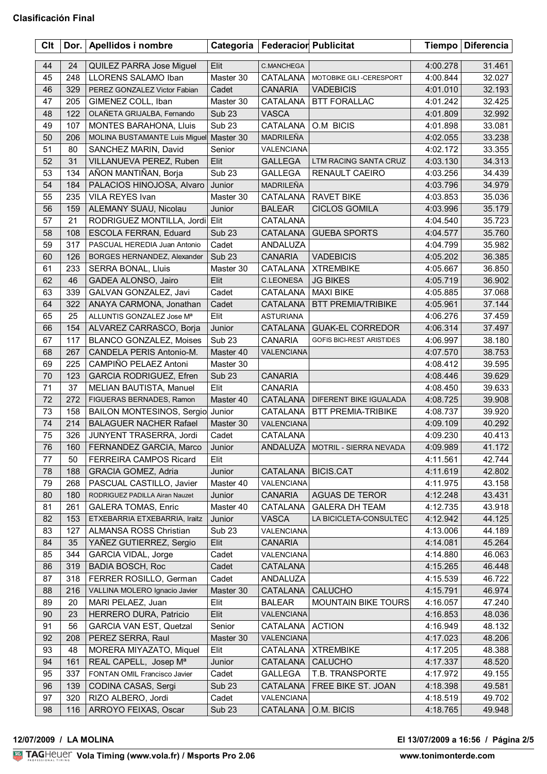| Clt |     | Dor.   Apellidos i nombre        |                   | Categoria   Federacior Publicitat |                                   | <b>Tiempo</b> | <b>Diferencia</b> |
|-----|-----|----------------------------------|-------------------|-----------------------------------|-----------------------------------|---------------|-------------------|
| 44  | 24  | QUILEZ PARRA Jose Miguel         | Elit              | C.MANCHEGA                        |                                   | 4:00.278      | 31.461            |
| 45  | 248 | LLORENS SALAMO Iban              | Master 30         | CATALANA                          | MOTOBIKE GILI-CERESPORT           | 4:00.844      | 32.027            |
| 46  | 329 | PEREZ GONZALEZ Victor Fabian     | Cadet             | <b>CANARIA</b>                    | <b>VADEBICIS</b>                  | 4:01.010      | 32.193            |
| 47  | 205 | GIMENEZ COLL, Iban               | Master 30         | CATALANA                          | <b>BTT FORALLAC</b>               | 4:01.242      | 32.425            |
| 48  | 122 | OLAÑETA GRIJALBA, Fernando       | Sub <sub>23</sub> | <b>VASCA</b>                      |                                   | 4:01.809      | 32.992            |
| 49  | 107 | <b>MONTES BARAHONA, Lluis</b>    | Sub <sub>23</sub> | CATALANA                          | O.M BICIS                         | 4:01.898      | 33.081            |
| 50  | 206 | MOLINA BUSTAMANTE Luis Miguel    | Master 30         | MADRILEÑA                         |                                   | 4:02.055      | 33.238            |
| 51  | 80  | SANCHEZ MARIN, David             | Senior            | VALENCIANA                        |                                   | 4:02.172      | 33.355            |
| 52  | 31  | VILLANUEVA PEREZ, Ruben          | Elit              | <b>GALLEGA</b>                    | LTM RACING SANTA CRUZ             | 4:03.130      | 34.313            |
| 53  | 134 | AÑON MANTIÑAN, Borja             | Sub <sub>23</sub> | <b>GALLEGA</b>                    | RENAULT CAEIRO                    | 4:03.256      | 34.439            |
| 54  | 184 | PALACIOS HINOJOSA, Alvaro        | Junior            | MADRILEÑA                         |                                   | 4:03.796      | 34.979            |
| 55  | 235 | VILA REYES Ivan                  | Master 30         | CATALANA                          | <b>RAVET BIKE</b>                 | 4:03.853      | 35.036            |
| 56  | 159 | ALEMANY SUAU, Nicolau            | Junior            | <b>BALEAR</b>                     | <b>CICLOS GOMILA</b>              | 4:03.996      | 35.179            |
| 57  | 21  | RODRIGUEZ MONTILLA, Jordi Elit   |                   | CATALANA                          |                                   | 4:04.540      | 35.723            |
| 58  | 108 | ESCOLA FERRAN, Eduard            | Sub <sub>23</sub> | CATALANA                          | <b>GUEBA SPORTS</b>               | 4:04.577      | 35.760            |
| 59  | 317 | PASCUAL HEREDIA Juan Antonio     | Cadet             | ANDALUZA                          |                                   | 4:04.799      | 35.982            |
| 60  | 126 | BORGES HERNANDEZ, Alexander      | <b>Sub 23</b>     | <b>CANARIA</b>                    | <b>VADEBICIS</b>                  | 4:05.202      | 36.385            |
| 61  | 233 | SERRA BONAL, Lluis               | Master 30         | CATALANA                          | <b>XTREMBIKE</b>                  | 4:05.667      | 36.850            |
| 62  | 46  | GADEA ALONSO, Jairo              | Elit              | <b>C.LEONESA</b>                  | <b>JG BIKES</b>                   | 4:05.719      | 36.902            |
| 63  | 339 | GALVAN GONZALEZ, Javi            | Cadet             | CATALANA                          | <b>MAXI BIKE</b>                  | 4:05.885      | 37.068            |
| 64  | 322 | ANAYA CARMONA, Jonathan          | Cadet             | <b>CATALANA</b>                   | <b>BTT PREMIA/TRIBIKE</b>         | 4:05.961      | 37.144            |
| 65  | 25  | ALLUNTIS GONZALEZ Jose Mª        | Elit              | <b>ASTURIANA</b>                  |                                   | 4:06.276      | 37.459            |
| 66  | 154 | ALVAREZ CARRASCO, Borja          | Junior            | CATALANA                          | <b>GUAK-EL CORREDOR</b>           | 4:06.314      | 37.497            |
| 67  | 117 | BLANCO GONZALEZ, Moises          | Sub <sub>23</sub> | <b>CANARIA</b>                    | <b>GOFIS BICI-REST ARISTIDES</b>  | 4:06.997      | 38.180            |
| 68  | 267 | CANDELA PERIS Antonio-M.         | Master 40         | VALENCIANA                        |                                   | 4:07.570      | 38.753            |
| 69  | 225 | CAMPIÑO PELAEZ Antoni            | Master 30         |                                   |                                   | 4:08.412      | 39.595            |
| 70  | 123 | <b>GARCIA RODRIGUEZ, Efren</b>   | Sub <sub>23</sub> | <b>CANARIA</b>                    |                                   | 4:08.446      | 39.629            |
| 71  | 37  | MELIAN BAUTISTA, Manuel          | Elit              | CANARIA                           |                                   | 4:08.450      | 39.633            |
| 72  | 272 | FIGUERAS BERNADES, Ramon         | Master 40         | CATALANA                          | DIFERENT BIKE IGUALADA            | 4:08.725      | 39.908            |
| 73  | 158 | BAILON MONTESINOS, Sergio Junior |                   | CATALANA                          | <b>BTT PREMIA-TRIBIKE</b>         | 4:08.737      | 39.920            |
| 74  | 214 | <b>BALAGUER NACHER Rafael</b>    | Master 30         | VALENCIANA                        |                                   | 4:09.109      | 40.292            |
| 75  | 326 | JUNYENT TRASERRA, Jordi          | Cadet             | CATALANA                          |                                   | 4:09.230      | 40.413            |
| 76  | 160 | FERNANDEZ GARCIA, Marco          | Junior            |                                   | ANDALUZA   MOTRIL - SIERRA NEVADA | 4:09.989      | 41.172            |
| 77  | 50  | <b>FERREIRA CAMPOS Ricard</b>    | Elit              |                                   |                                   | 4:11.561      | 42.744            |
| 78  | 188 | GRACIA GOMEZ, Adria              | Junior            | CATALANA                          | <b>BICIS.CAT</b>                  | 4:11.619      | 42.802            |
| 79  | 268 | PASCUAL CASTILLO, Javier         | Master 40         | VALENCIANA                        |                                   | 4:11.975      | 43.158            |
| 80  | 180 | RODRIGUEZ PADILLA Airan Nauzet   | Junior            | <b>CANARIA</b>                    | <b>AGUAS DE TEROR</b>             | 4:12.248      | 43.431            |
| 81  | 261 | <b>GALERA TOMAS, Enric</b>       | Master 40         | CATALANA                          | <b>GALERA DH TEAM</b>             | 4:12.735      | 43.918            |
| 82  | 153 | ETXEBARRIA ETXEBARRIA, Iraitz    | Junior            | <b>VASCA</b>                      | LA BICICLETA-CONSULTEC            | 4:12.942      | 44.125            |
| 83  | 127 | ALMANSA ROSS Christian           | Sub <sub>23</sub> | VALENCIANA                        |                                   | 4:13.006      | 44.189            |
| 84  | 35  | YAÑEZ GUTIERREZ, Sergio          | Elit              | <b>CANARIA</b>                    |                                   | 4:14.081      | 45.264            |
| 85  | 344 | GARCIA VIDAL, Jorge              | Cadet             | VALENCIANA                        |                                   | 4:14.880      | 46.063            |
| 86  | 319 | <b>BADIA BOSCH, Roc</b>          | Cadet             | CATALANA                          |                                   | 4:15.265      | 46.448            |
| 87  | 318 | FERRER ROSILLO, German           | Cadet             | ANDALUZA                          |                                   | 4:15.539      | 46.722            |
| 88  | 216 | VALLINA MOLERO Ignacio Javier    | Master 30         | CATALANA                          | <b>CALUCHO</b>                    | 4:15.791      | 46.974            |
| 89  | 20  | MARI PELAEZ, Juan                | Elit              | <b>BALEAR</b>                     | <b>MOUNTAIN BIKE TOURS</b>        | 4:16.057      | 47.240            |
| 90  | 23  | HERRERO DURA, Patricio           | Elit              | VALENCIANA                        |                                   | 4:16.853      | 48.036            |
| 91  | 56  | <b>GARCIA VAN EST, Quetzal</b>   | Senior            | CATALANA                          | <b>ACTION</b>                     | 4:16.949      | 48.132            |
| 92  | 208 | PEREZ SERRA, Raul                | Master 30         | VALENCIANA                        |                                   | 4:17.023      | 48.206            |
| 93  | 48  | MORERA MIYAZATO, Miquel          | Elit              | CATALANA                          | <b>XTREMBIKE</b>                  | 4:17.205      | 48.388            |
| 94  | 161 | REAL CAPELL, Josep Ma            | Junior            | CATALANA                          | <b>CALUCHO</b>                    | 4:17.337      | 48.520            |
| 95  | 337 | FONTAN OMIL Francisco Javier     | Cadet             | GALLEGA                           | T.B. TRANSPORTE                   | 4:17.972      | 49.155            |
| 96  | 139 | CODINA CASAS, Sergi              | Sub <sub>23</sub> | CATALANA                          | FREE BIKE ST. JOAN                | 4:18.398      | 49.581            |
| 97  | 320 | RIZO ALBERO, Jordi               | Cadet             | VALENCIANA                        |                                   | 4:18.519      | 49.702            |
| 98  | 116 | ARROYO FEIXAS, Oscar             | <b>Sub 23</b>     | <b>CATALANA</b>                   | O.M. BICIS                        | 4:18.765      | 49.948            |

## <u>Volanda Volanda est</u> **12/07/2009 / LA MOLINA El 13/07/2009 a 16:56 / Página 2/5**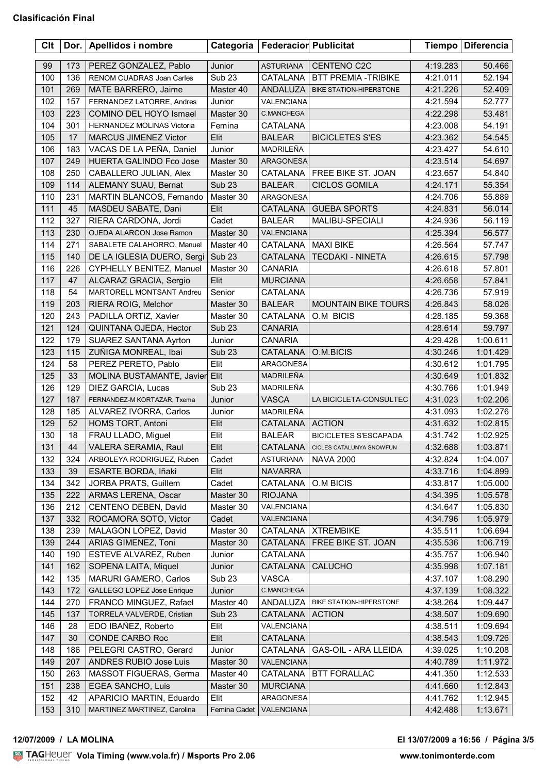| Clt | Dor. | Apellidos i nombre             | Categoria         | <b>Federacior Publicitat</b> |                                 |          | Tiempo   Diferencia |
|-----|------|--------------------------------|-------------------|------------------------------|---------------------------------|----------|---------------------|
| 99  | 173  | PEREZ GONZALEZ, Pablo          | Junior            | ASTURIANA                    | CENTENO C2C                     | 4:19.283 | 50.466              |
| 100 | 136  | RENOM CUADRAS Joan Carles      | Sub <sub>23</sub> | CATALANA                     | <b>BTT PREMIA -TRIBIKE</b>      | 4:21.011 | 52.194              |
| 101 | 269  | MATE BARRERO, Jaime            | Master 40         | ANDALUZA                     | BIKE STATION-HIPERSTONE         | 4:21.226 | 52.409              |
| 102 | 157  | FERNANDEZ LATORRE, Andres      | Junior            | VALENCIANA                   |                                 | 4:21.594 | 52.777              |
| 103 | 223  | COMINO DEL HOYO Ismael         | Master 30         | C.MANCHEGA                   |                                 | 4:22.298 | 53.481              |
| 104 | 301  | HERNANDEZ MOLINAS Victoria     | Femina            | CATALANA                     |                                 | 4:23.008 | 54.191              |
| 105 | 17   | <b>MARCUS JIMENEZ Victor</b>   | Elit              | <b>BALEAR</b>                | <b>BICICLETES S'ES</b>          | 4:23.362 | 54.545              |
| 106 | 183  | VACAS DE LA PEÑA, Daniel       | Junior            | MADRILEÑA                    |                                 | 4:23.427 | 54.610              |
| 107 | 249  | <b>HUERTA GALINDO Fco Jose</b> | Master 30         | ARAGONESA                    |                                 | 4:23.514 | 54.697              |
| 108 | 250  | CABALLERO JULIAN, Alex         | Master 30         | CATALANA                     | FREE BIKE ST. JOAN              | 4:23.657 | 54.840              |
| 109 | 114  | ALEMANY SUAU, Bernat           | <b>Sub 23</b>     | <b>BALEAR</b>                | <b>CICLOS GOMILA</b>            | 4:24.171 | 55.354              |
| 110 | 231  | MARTIN BLANCOS, Fernando       | Master 30         | ARAGONESA                    |                                 | 4:24.706 | 55.889              |
| 111 | 45   | MASDEU SABATE, Dani            | Elit              | <b>CATALANA</b>              | <b>GUEBA SPORTS</b>             | 4:24.831 | 56.014              |
| 112 | 327  | RIERA CARDONA, Jordi           | Cadet             | <b>BALEAR</b>                | MALIBU-SPECIALI                 | 4:24.936 | 56.119              |
| 113 | 230  | OJEDA ALARCON Jose Ramon       | Master 30         | <b>VALENCIANA</b>            |                                 | 4:25.394 | 56.577              |
| 114 | 271  | SABALETE CALAHORRO, Manuel     | Master 40         | <b>CATALANA</b>              | <b>MAXI BIKE</b>                | 4:26.564 | 57.747              |
| 115 | 140  | DE LA IGLESIA DUERO, Sergi     | Sub <sub>23</sub> | CATALANA                     | <b>TECDAKI - NINETA</b>         | 4:26.615 | 57.798              |
| 116 | 226  | CYPHELLY BENITEZ, Manuel       | Master 30         | <b>CANARIA</b>               |                                 | 4:26.618 | 57.801              |
|     | 47   |                                |                   |                              |                                 |          |                     |
| 117 |      | ALCARAZ GRACIA, Sergio         | Elit              | <b>MURCIANA</b>              |                                 | 4:26.658 | 57.841              |
| 118 | 54   | MARTORELL MONTSANT Andreu      | Senior            | CATALANA                     |                                 | 4:26.736 | 57.919              |
| 119 | 203  | RIERA ROIG, Melchor            | Master 30         | <b>BALEAR</b>                | <b>MOUNTAIN BIKE TOURS</b>      | 4:26.843 | 58.026              |
| 120 | 243  | PADILLA ORTIZ, Xavier          | Master 30         | CATALANA                     | O.M BICIS                       | 4:28.185 | 59.368              |
| 121 | 124  | QUINTANA OJEDA, Hector         | <b>Sub 23</b>     | <b>CANARIA</b>               |                                 | 4:28.614 | 59.797              |
| 122 | 179  | SUAREZ SANTANA Ayrton          | Junior            | <b>CANARIA</b>               |                                 | 4:29.428 | 1:00.611            |
| 123 | 115  | ZUÑIGA MONREAL, Ibai           | <b>Sub 23</b>     | CATALANA                     | O.M.BICIS                       | 4:30.246 | 1:01.429            |
| 124 | 58   | PEREZ PERETO, Pablo            | Elit              | ARAGONESA                    |                                 | 4:30.612 | 1:01.795            |
| 125 | 33   | MOLINA BUSTAMANTE, Javier Elit |                   | MADRILEÑA                    |                                 | 4:30.649 | 1:01.832            |
| 126 | 129  | DIEZ GARCIA, Lucas             | Sub <sub>23</sub> | MADRILEÑA                    |                                 | 4:30.766 | 1:01.949            |
| 127 | 187  | FERNANDEZ-M KORTAZAR, Txema    | Junior            | <b>VASCA</b>                 | LA BICICLETA-CONSULTEC          | 4:31.023 | 1:02.206            |
| 128 | 185  | ALVAREZ IVORRA, Carlos         | Junior            | MADRILEÑA                    |                                 | 4:31.093 | 1:02.276            |
| 129 | 52   | HOMS TORT, Antoni              | Elit              | CATALANA                     | <b>ACTION</b>                   | 4:31.632 | 1:02.815            |
| 130 | 18   | FRAU LLADO, Miguel             | Elit              | <b>BALEAR</b>                | <b>BICICLETES S'ESCAPADA</b>    | 4:31.742 | 1:02.925            |
| 131 | 44   | VALERA SERAMIA, Raul           | Elit              | CATALANA                     | <b>CICLES CATALUNYA SNOWFUN</b> | 4:32.688 | 1:03.871            |
| 132 | 324  | ARBOLEYA RODRIGUEZ, Ruben      | Cadet             | <b>ASTURIANA</b>             | <b>NAVA 2000</b>                | 4:32.824 | 1:04.007            |
| 133 | 39   | ESARTE BORDA, Iñaki            | Elit              | <b>NAVARRA</b>               |                                 | 4:33.716 | 1:04.899            |
| 134 | 342  | JORBA PRATS, Guillem           | Cadet             | CATALANA                     | O.M BICIS                       | 4:33.817 | 1:05.000            |
| 135 | 222  | ARMAS LERENA, Oscar            | Master 30         | <b>RIOJANA</b>               |                                 | 4:34.395 | 1:05.578            |
| 136 | 212  | CENTENO DEBEN, David           | Master 30         | VALENCIANA                   |                                 | 4:34.647 | 1:05.830            |
| 137 | 332  | ROCAMORA SOTO, Victor          | Cadet             | VALENCIANA                   |                                 | 4:34.796 | 1:05.979            |
| 138 | 239  | MALAGON LOPEZ, David           | Master 30         | CATALANA                     | <b>XTREMBIKE</b>                | 4:35.511 | 1:06.694            |
| 139 | 244  | ARIAS GIMENEZ, Toni            | Master 30         | CATALANA                     | FREE BIKE ST. JOAN              | 4:35.536 | 1:06.719            |
| 140 | 190  | ESTEVE ALVAREZ, Ruben          | Junior            | CATALANA                     |                                 | 4:35.757 | 1:06.940            |
| 141 | 162  | SOPENA LAITA, Miquel           | Junior            | CATALANA                     | <b>CALUCHO</b>                  | 4:35.998 | 1:07.181            |
| 142 | 135  | MARURI GAMERO, Carlos          | Sub <sub>23</sub> | VASCA                        |                                 | 4:37.107 | 1:08.290            |
| 143 | 172  | GALLEGO LOPEZ Jose Enrique     | Junior            | C.MANCHEGA                   |                                 | 4:37.139 | 1:08.322            |
| 144 | 270  | FRANCO MINGUEZ, Rafael         | Master 40         | ANDALUZA                     | BIKE STATION-HIPERSTONE         | 4:38.264 | 1:09.447            |
| 145 | 137  | TORRELA VALVERDE, Cristian     | <b>Sub 23</b>     | <b>CATALANA</b>              | <b>ACTION</b>                   | 4:38.507 | 1:09.690            |
| 146 | 28   | EDO IBAÑEZ, Roberto            | Elit              | VALENCIANA                   |                                 | 4:38.511 | 1:09.694            |
| 147 | 30   | CONDE CARBO Roc                | Elit              | CATALANA                     |                                 | 4:38.543 | 1:09.726            |
| 148 | 186  | PELEGRI CASTRO, Gerard         | Junior            | CATALANA                     | GAS-OIL - ARA LLEIDA            | 4:39.025 | 1:10.208            |
| 149 | 207  | ANDRES RUBIO Jose Luis         | Master 30         | VALENCIANA                   |                                 | 4:40.789 | 1:11.972            |
| 150 | 263  | MASSOT FIGUERAS, Germa         | Master 40         | CATALANA                     | <b>BTT FORALLAC</b>             | 4:41.350 | 1:12.533            |
| 151 | 238  | EGEA SANCHO, Luis              | Master 30         | <b>MURCIANA</b>              |                                 | 4:41.660 | 1:12.843            |
| 152 | 42   | APARICIO MARTIN, Eduardo       | Elit              | ARAGONESA                    |                                 | 4:41.762 | 1:12.945            |
| 153 | 310  | MARTINEZ MARTINEZ, Carolina    | Femina Cadet      | VALENCIANA                   |                                 | 4:42.488 | 1:13.671            |
|     |      |                                |                   |                              |                                 |          |                     |

## <u>Volanda Volanda est</u> **12/07/2009 / LA MOLINA El 13/07/2009 a 16:56 / Página 3/5**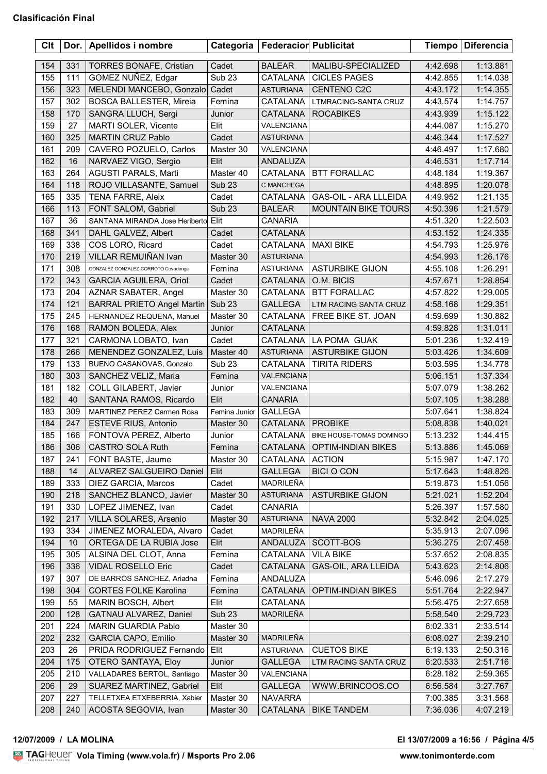| Clt | Dor. | Apellidos i nombre                  | Categoria         | <b>Federacior Publicitat</b> |                            |          | Tiempo   Diferencia |
|-----|------|-------------------------------------|-------------------|------------------------------|----------------------------|----------|---------------------|
| 154 | 331  | <b>TORRES BONAFE, Cristian</b>      | Cadet             | <b>BALEAR</b>                | MALIBU-SPECIALIZED         | 4:42.698 | 1:13.881            |
| 155 | 111  | GOMEZ NUÑEZ, Edgar                  | Sub <sub>23</sub> | CATALANA                     | <b>CICLES PAGES</b>        | 4:42.855 | 1:14.038            |
| 156 | 323  | MELENDI MANCEBO, Gonzalo            | Cadet             | ASTURIANA                    | CENTENO C2C                | 4:43.172 | 1:14.355            |
| 157 | 302  | <b>BOSCA BALLESTER, Mireia</b>      | Femina            | CATALANA                     | LTMRACING-SANTA CRUZ       | 4:43.574 | 1:14.757            |
| 158 | 170  | SANGRA LLUCH, Sergi                 | Junior            | <b>CATALANA</b>              | <b>ROCABIKES</b>           | 4:43.939 | 1:15.122            |
| 159 | 27   | MARTI SOLER, Vicente                | Elit              | VALENCIANA                   |                            | 4:44.087 | 1:15.270            |
| 160 | 325  | <b>MARTIN CRUZ Pablo</b>            | Cadet             | <b>ASTURIANA</b>             |                            | 4:46.344 | 1:17.527            |
| 161 | 209  | CAVERO POZUELO, Carlos              | Master 30         | VALENCIANA                   |                            | 4:46.497 | 1:17.680            |
| 162 | 16   | NARVAEZ VIGO, Sergio                | Elit              | ANDALUZA                     |                            |          | 1:17.714            |
| 163 | 264  | AGUSTI PARALS, Marti                | Master 40         |                              | <b>BTT FORALLAC</b>        | 4:46.531 |                     |
| 164 | 118  |                                     |                   | CATALANA                     |                            | 4:48.184 | 1:19.367            |
|     |      | ROJO VILLASANTE, Samuel             | <b>Sub 23</b>     | C.MANCHEGA                   |                            | 4:48.895 | 1:20.078            |
| 165 | 335  | TENA FARRE, Aleix                   | Cadet             | CATALANA                     | GAS-OIL - ARA LLLEIDA      | 4:49.952 | 1:21.135            |
| 166 | 113  | FONT SALOM, Gabriel                 | <b>Sub 23</b>     | <b>BALEAR</b>                | <b>MOUNTAIN BIKE TOURS</b> | 4:50.396 | 1:21.579            |
| 167 | 36   | SANTANA MIRANDA Jose Heriberto Elit |                   | <b>CANARIA</b>               |                            | 4:51.320 | 1:22.503            |
| 168 | 341  | DAHL GALVEZ, Albert                 | Cadet             | CATALANA                     |                            | 4:53.152 | 1:24.335            |
| 169 | 338  | COS LORO, Ricard                    | Cadet             | <b>CATALANA</b>              | <b>MAXI BIKE</b>           | 4:54.793 | 1:25.976            |
| 170 | 219  | VILLAR REMUIÑAN Ivan                | Master 30         | <b>ASTURIANA</b>             |                            | 4:54.993 | 1:26.176            |
| 171 | 308  | GONZALEZ GONZALEZ-CORROTO Covadonga | Femina            | <b>ASTURIANA</b>             | <b>ASTURBIKE GIJON</b>     | 4:55.108 | 1:26.291            |
| 172 | 343  | <b>GARCIA AGUILERA, Oriol</b>       | Cadet             | CATALANA                     | O.M. BICIS                 | 4:57.671 | 1:28.854            |
| 173 | 204  | AZNAR SABATER, Angel                | Master 30         | CATALANA                     | <b>BTT FORALLAC</b>        | 4:57.822 | 1:29.005            |
| 174 | 121  | <b>BARRAL PRIETO Angel Martin</b>   | Sub <sub>23</sub> | <b>GALLEGA</b>               | LTM RACING SANTA CRUZ      | 4:58.168 | 1:29.351            |
| 175 | 245  | HERNANDEZ REQUENA, Manuel           | Master 30         | CATALANA                     | FREE BIKE ST. JOAN         | 4:59.699 | 1:30.882            |
| 176 | 168  | RAMON BOLEDA, Alex                  | Junior            | CATALANA                     |                            | 4:59.828 | 1:31.011            |
| 177 | 321  | CARMONA LOBATO, Ivan                | Cadet             | CATALANA                     | LA POMA GUAK               | 5:01.236 | 1:32.419            |
| 178 | 266  | MENENDEZ GONZALEZ, Luis             | Master 40         | ASTURIANA                    | <b>ASTURBIKE GIJON</b>     | 5:03.426 | 1:34.609            |
| 179 | 133  | BUENO CASANOVAS, Gonzalo            | Sub <sub>23</sub> | CATALANA                     | <b>TIRITA RIDERS</b>       | 5:03.595 | 1:34.778            |
| 180 | 303  | SANCHEZ VELIZ, Maria                | Femina            | VALENCIANA                   |                            | 5:06.151 | 1:37.334            |
| 181 | 182  | COLL GILABERT, Javier               | Junior            | VALENCIANA                   |                            | 5:07.079 | 1:38.262            |
| 182 | 40   | SANTANA RAMOS, Ricardo              | Elit              | <b>CANARIA</b>               |                            | 5:07.105 | 1:38.288            |
| 183 | 309  | MARTINEZ PEREZ Carmen Rosa          | Femina Junior     | <b>GALLEGA</b>               |                            | 5:07.641 | 1:38.824            |
| 184 | 247  | ESTEVE RIUS, Antonio                | Master 30         | CATALANA                     | <b>PROBIKE</b>             | 5:08.838 | 1:40.021            |
| 185 | 166  | FONTOVA PEREZ, Alberto              | Junior            | CATALANA                     | BIKE HOUSE-TOMAS DOMINGO   | 5:13.232 | 1:44.415            |
| 186 | 306  | CASTRO SOLA Ruth                    | Femina            | <b>CATALANA</b>              | <b>OPTIM-INDIAN BIKES</b>  | 5:13.886 | 1:45.069            |
| 187 | 241  | FONT BASTE, Jaume                   | Master 30         | CATALANA                     | <b>ACTION</b>              | 5:15.987 | 1:47.170            |
| 188 | 14   | ALVAREZ SALGUEIRO Daniel            | Elit              | <b>GALLEGA</b>               | <b>BICI O CON</b>          | 5:17.643 | 1:48.826            |
| 189 | 333  | DIEZ GARCIA, Marcos                 | Cadet             | MADRILEÑA                    |                            | 5:19.873 | 1:51.056            |
| 190 | 218  | SANCHEZ BLANCO, Javier              | Master 30         | <b>ASTURIANA</b>             | <b>ASTURBIKE GIJON</b>     | 5:21.021 | 1:52.204            |
| 191 | 330  | LOPEZ JIMENEZ, Ivan                 | Cadet             | <b>CANARIA</b>               |                            | 5:26.397 | 1:57.580            |
| 192 | 217  | VILLA SOLARES, Arsenio              | Master 30         | <b>ASTURIANA</b>             | <b>NAVA 2000</b>           | 5:32.842 | 2:04.025            |
| 193 | 334  | JIMENEZ MORALEDA, Alvaro            | Cadet             | MADRILEÑA                    |                            | 5:35.913 | 2:07.096            |
| 194 | 10   | ORTEGA DE LA RUBIA Jose             | Elit              | ANDALUZA                     | SCOTT-BOS                  | 5:36.275 | 2:07.458            |
| 195 | 305  | ALSINA DEL CLOT, Anna               | Femina            | CATALANA                     | <b>VILA BIKE</b>           | 5:37.652 | 2:08.835            |
| 196 | 336  | VIDAL ROSELLO Eric                  | Cadet             | CATALANA                     | GAS-OIL, ARA LLEIDA        | 5:43.623 | 2:14.806            |
| 197 | 307  | DE BARROS SANCHEZ, Ariadna          | Femina            | ANDALUZA                     |                            | 5:46.096 | 2:17.279            |
| 198 | 304  | <b>CORTES FOLKE Karolina</b>        | Femina            | CATALANA                     | <b>OPTIM-INDIAN BIKES</b>  | 5:51.764 | 2:22.947            |
| 199 | 55   |                                     | Elit              | CATALANA                     |                            |          |                     |
|     |      | <b>MARIN BOSCH, Albert</b>          |                   |                              |                            | 5:56.475 | 2:27.658            |
| 200 | 128  | GATNAU ALVAREZ, Daniel              | <b>Sub 23</b>     | MADRILEÑA                    |                            | 5:58.540 | 2:29.723            |
| 201 | 224  | MARIN GUARDIA Pablo                 | Master 30         |                              |                            | 6:02.331 | 2:33.514            |
| 202 | 232  | GARCIA CAPO, Emilio                 | Master 30         | MADRILEÑA                    |                            | 6:08.027 | 2:39.210            |
| 203 | 26   | PRIDA RODRIGUEZ Fernando            | Elit              | <b>ASTURIANA</b>             | <b>CUETOS BIKE</b>         | 6:19.133 | 2:50.316            |
| 204 | 175  | OTERO SANTAYA, Eloy                 | Junior            | <b>GALLEGA</b>               | LTM RACING SANTA CRUZ      | 6:20.533 | 2:51.716            |
| 205 | 210  | VALLADARES BERTOL, Santiago         | Master 30         | VALENCIANA                   |                            | 6:28.182 | 2:59.365            |
| 206 | 29   | SUAREZ MARTINEZ, Gabriel            | Elit              | <b>GALLEGA</b>               | WWW.BRINCOOS.CO            | 6:56.584 | 3:27.767            |
| 207 | 227  | TELLETXEA ETXEBERRIA, Xabier        | Master 30         | <b>NAVARRA</b>               |                            | 7:00.385 | 3:31.568            |
| 208 | 240  | ACOSTA SEGOVIA, Ivan                | Master 30         | CATALANA                     | <b>BIKE TANDEM</b>         | 7:36.036 | 4:07.219            |

## <u>Volanda Volanda est</u> **12/07/2009 / LA MOLINA El 13/07/2009 a 16:56 / Página 4/5**